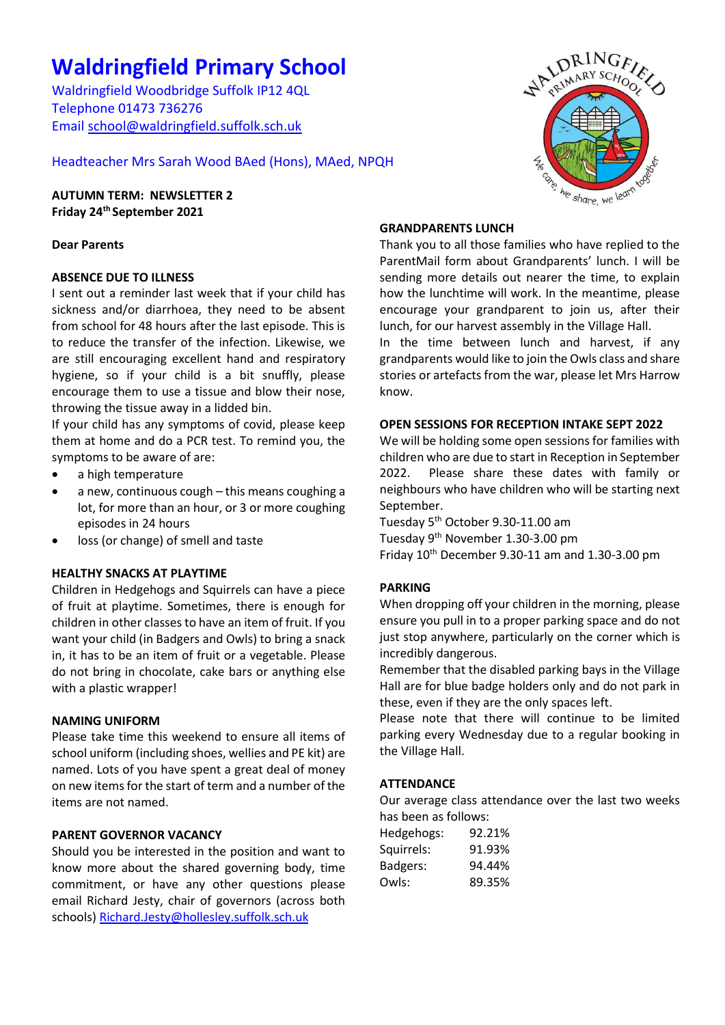# **Waldringfield Primary School**

Waldringfield Woodbridge Suffolk IP12 4QL Telephone 01473 736276 Email [school@waldringfield.suffolk.sch.uk](mailto:school@waldringfield.suffolk.sch.uk)

Headteacher Mrs Sarah Wood BAed (Hons), MAed, NPQH

**AUTUMN TERM: NEWSLETTER 2 Friday 24th September 2021**

## **Dear Parents**

# **ABSENCE DUE TO ILLNESS**

I sent out a reminder last week that if your child has sickness and/or diarrhoea, they need to be absent from school for 48 hours after the last episode. This is to reduce the transfer of the infection. Likewise, we are still encouraging excellent hand and respiratory hygiene, so if your child is a bit snuffly, please encourage them to use a tissue and blow their nose, throwing the tissue away in a lidded bin.

If your child has any symptoms of covid, please keep them at home and do a PCR test. To remind you, the symptoms to be aware of are:

- a high temperature
- a new, continuous cough this means coughing a lot, for more than an hour, or 3 or more coughing episodes in 24 hours
- loss (or change) of smell and taste

## **HEALTHY SNACKS AT PLAYTIME**

Children in Hedgehogs and Squirrels can have a piece of fruit at playtime. Sometimes, there is enough for children in other classes to have an item of fruit. If you want your child (in Badgers and Owls) to bring a snack in, it has to be an item of fruit or a vegetable. Please do not bring in chocolate, cake bars or anything else with a plastic wrapper!

#### **NAMING UNIFORM**

Please take time this weekend to ensure all items of school uniform (including shoes, wellies and PE kit) are named. Lots of you have spent a great deal of money on new items for the start of term and a number of the items are not named.

## **PARENT GOVERNOR VACANCY**

Should you be interested in the position and want to know more about the shared governing body, time commitment, or have any other questions please email Richard Jesty, chair of governors (across both schools[\) Richard.Jesty@hollesley.suffolk.sch.uk](mailto:Richard.Jesty@hollesley.suffolk.sch.uk)



### **GRANDPARENTS LUNCH**

Thank you to all those families who have replied to the ParentMail form about Grandparents' lunch. I will be sending more details out nearer the time, to explain how the lunchtime will work. In the meantime, please encourage your grandparent to join us, after their lunch, for our harvest assembly in the Village Hall.

In the time between lunch and harvest, if any grandparents would like to join the Owls class and share stories or artefacts from the war, please let Mrs Harrow know.

#### **OPEN SESSIONS FOR RECEPTION INTAKE SEPT 2022**

We will be holding some open sessions for families with children who are due to start in Reception in September 2022. Please share these dates with family or neighbours who have children who will be starting next September.

Tuesday 5th October 9.30-11.00 am Tuesday 9th November 1.30-3.00 pm Friday  $10^{th}$  December 9.30-11 am and 1.30-3.00 pm

## **PARKING**

When dropping off your children in the morning, please ensure you pull in to a proper parking space and do not just stop anywhere, particularly on the corner which is incredibly dangerous.

Remember that the disabled parking bays in the Village Hall are for blue badge holders only and do not park in these, even if they are the only spaces left.

Please note that there will continue to be limited parking every Wednesday due to a regular booking in the Village Hall.

## **ATTENDANCE**

Our average class attendance over the last two weeks has been as follows:

| Hedgehogs: | 92.21% |
|------------|--------|
| Squirrels: | 91.93% |
| Badgers:   | 94.44% |
| Owls:      | 89.35% |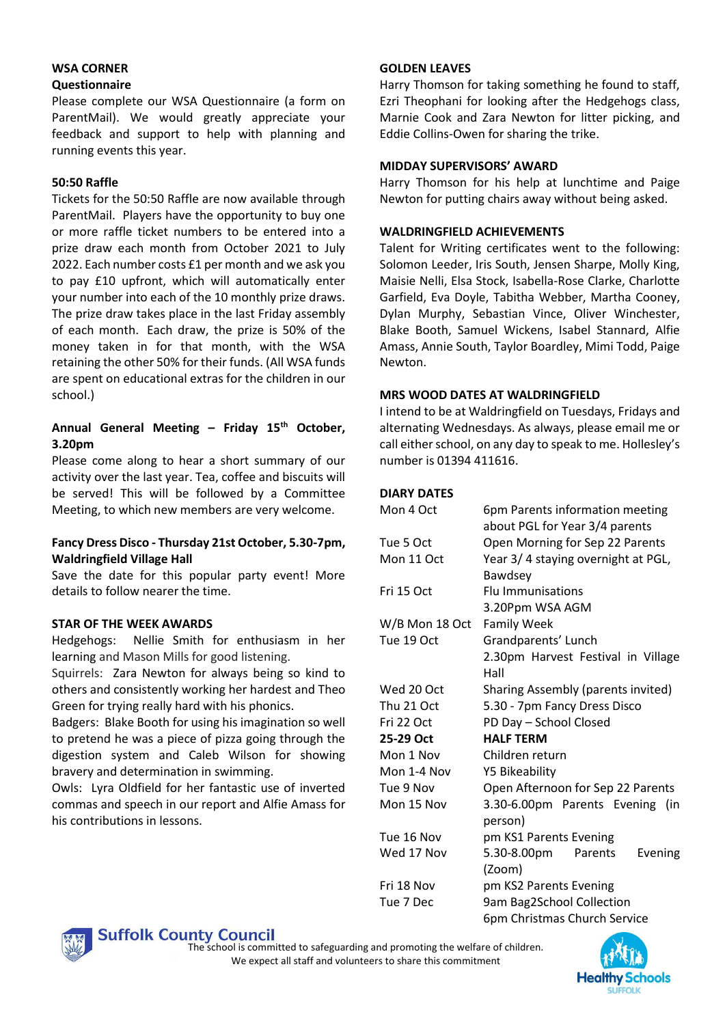#### **WSA CORNER Questionnaire**

Please complete our WSA Questionnaire (a form on ParentMail). We would greatly appreciate your feedback and support to help with planning and running events this year.

## **50:50 Raffle**

Tickets for the 50:50 Raffle are now available through ParentMail. Players have the opportunity to buy one or more raffle ticket numbers to be entered into a prize draw each month from October 2021 to July 2022. Each number costs £1 per month and we ask you to pay £10 upfront, which will automatically enter your number into each of the 10 monthly prize draws. The prize draw takes place in the last Friday assembly of each month. Each draw, the prize is 50% of the money taken in for that month, with the WSA retaining the other 50% for their funds. (All WSA funds are spent on educational extras for the children in our school.)

## **Annual General Meeting – Friday 15th October, 3.20pm**

Please come along to hear a short summary of our activity over the last year. Tea, coffee and biscuits will be served! This will be followed by a Committee Meeting, to which new members are very welcome.

## **Fancy Dress Disco - Thursday 21st October, 5.30-7pm, Waldringfield Village Hall**

Save the date for this popular party event! More details to follow nearer the time.

## **STAR OF THE WEEK AWARDS**

Hedgehogs: Nellie Smith for enthusiasm in her learning and Mason Mills for good listening.

Squirrels: Zara Newton for always being so kind to others and consistently working her hardest and Theo Green for trying really hard with his phonics.

Badgers: Blake Booth for using his imagination so well to pretend he was a piece of pizza going through the digestion system and Caleb Wilson for showing bravery and determination in swimming.

Owls: Lyra Oldfield for her fantastic use of inverted commas and speech in our report and Alfie Amass for his contributions in lessons.

## **GOLDEN LEAVES**

Harry Thomson for taking something he found to staff, Ezri Theophani for looking after the Hedgehogs class, Marnie Cook and Zara Newton for litter picking, and Eddie Collins-Owen for sharing the trike.

## **MIDDAY SUPERVISORS' AWARD**

Harry Thomson for his help at lunchtime and Paige Newton for putting chairs away without being asked.

# **WALDRINGFIELD ACHIEVEMENTS**

Talent for Writing certificates went to the following: Solomon Leeder, Iris South, Jensen Sharpe, Molly King, Maisie Nelli, Elsa Stock, Isabella-Rose Clarke, Charlotte Garfield, Eva Doyle, Tabitha Webber, Martha Cooney, Dylan Murphy, Sebastian Vince, Oliver Winchester, Blake Booth, Samuel Wickens, Isabel Stannard, Alfie Amass, Annie South, Taylor Boardley, Mimi Todd, Paige Newton.

# **MRS WOOD DATES AT WALDRINGFIELD**

I intend to be at Waldringfield on Tuesdays, Fridays and alternating Wednesdays. As always, please email me or call either school, on any day to speak to me. Hollesley's number is 01394 411616.

## **DIARY DATES**

| Mon 4 Oct      | 6pm Parents information meeting<br>about PGL for Year 3/4 parents |  |
|----------------|-------------------------------------------------------------------|--|
| Tue 5 Oct      | Open Morning for Sep 22 Parents                                   |  |
| Mon 11 Oct     | Year 3/4 staying overnight at PGL,<br>Bawdsey                     |  |
| Fri 15 Oct     | <b>Flu Immunisations</b>                                          |  |
|                | 3.20Ppm WSA AGM                                                   |  |
| W/B Mon 18 Oct | <b>Family Week</b>                                                |  |
| Tue 19 Oct     | Grandparents' Lunch                                               |  |
|                | 2.30pm Harvest Festival in Village                                |  |
|                | Hall                                                              |  |
| Wed 20 Oct     | Sharing Assembly (parents invited)                                |  |
| Thu 21 Oct     | 5.30 - 7pm Fancy Dress Disco                                      |  |
| Fri 22 Oct     | PD Day - School Closed                                            |  |
| 25-29 Oct      | <b>HALF TERM</b>                                                  |  |
| Mon 1 Nov      | Children return                                                   |  |
| Mon 1-4 Nov    | <b>Y5 Bikeability</b>                                             |  |
| Tue 9 Nov      | Open Afternoon for Sep 22 Parents                                 |  |
| Mon 15 Nov     | 3.30-6.00pm Parents Evening (in<br>person)                        |  |
| Tue 16 Nov     | pm KS1 Parents Evening                                            |  |
| Wed 17 Nov     | 5.30-8.00pm Parents<br>Evening<br>(Zoom)                          |  |
| Fri 18 Nov     | pm KS2 Parents Evening                                            |  |
| Tue 7 Dec      | 9am Bag2School Collection                                         |  |
|                | 6pm Christmas Church Service                                      |  |



**Suffolk County Council** 

The school is committed to safeguarding and promoting the welfare of children. We expect all staff and volunteers to share this commitment